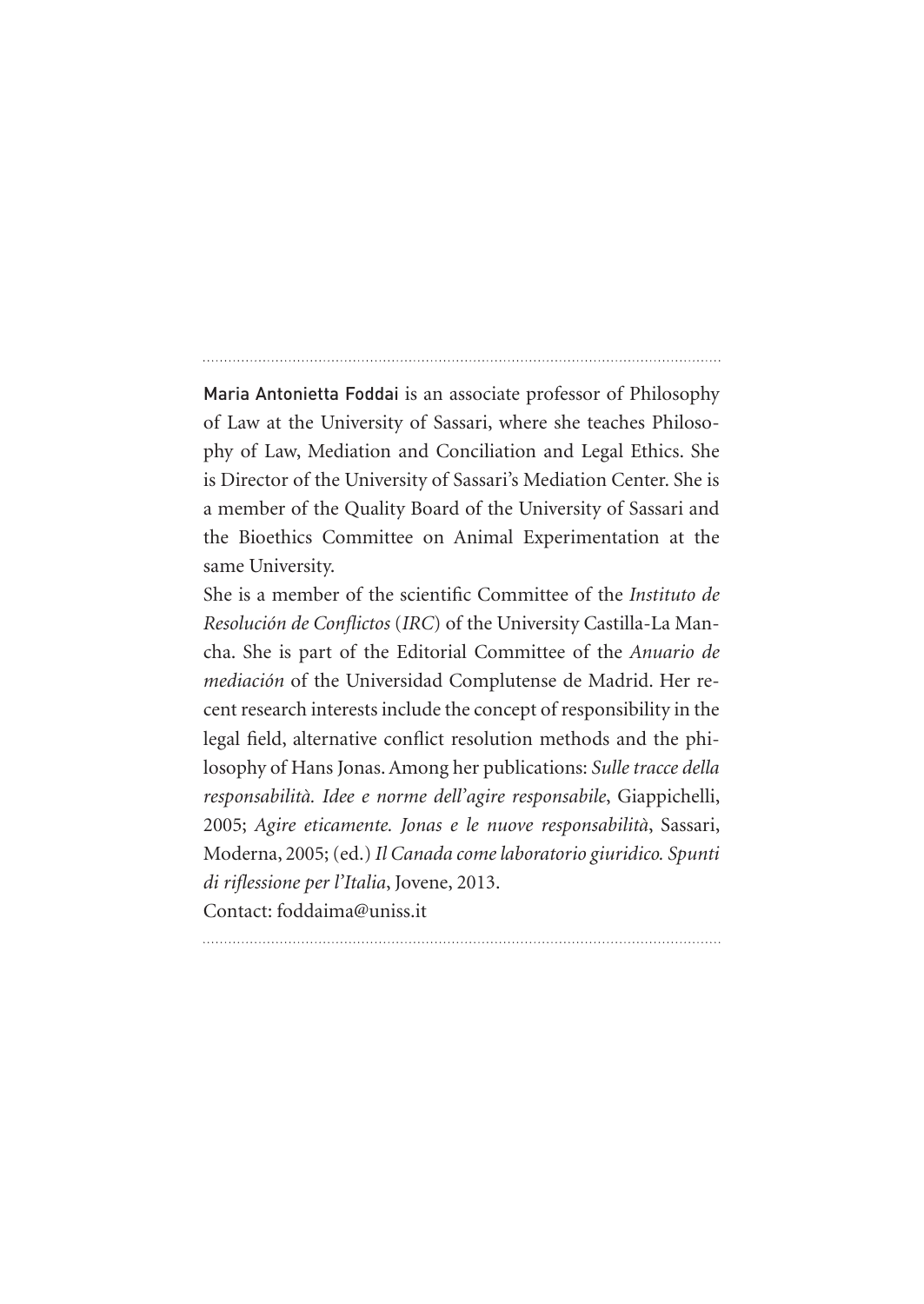Maria Antonietta Foddai is an associate professor of Philosophy of Law at the University of Sassari, where she teaches Philosophy of Law, Mediation and Conciliation and Legal Ethics. She is Director of the University of Sassari's Mediation Center. She is a member of the Quality Board of the University of Sassari and the Bioethics Committee on Animal Experimentation at the same University.

She is a member of the scientific Committee of the *Instituto de Resolución de Conflictos* (*IRC*) of the University Castilla-La Mancha. She is part of the Editorial Committee of the *Anuario de mediación* of the Universidad Complutense de Madrid. Her recent research interests include the concept of responsibility in the legal field, alternative conflict resolution methods and the philosophy of Hans Jonas. Among her publications: *Sulle tracce della responsabilità. Idee e norme dell'agire responsabile*, Giappichelli, 2005; *Agire eticamente. Jonas e le nuove responsabilità*, Sassari, Moderna, 2005; (ed.) *Il Canada come laboratorio giuridico. Spunti di riflessione per l'Italia*, Jovene, 2013. Contact: foddaima@uniss.it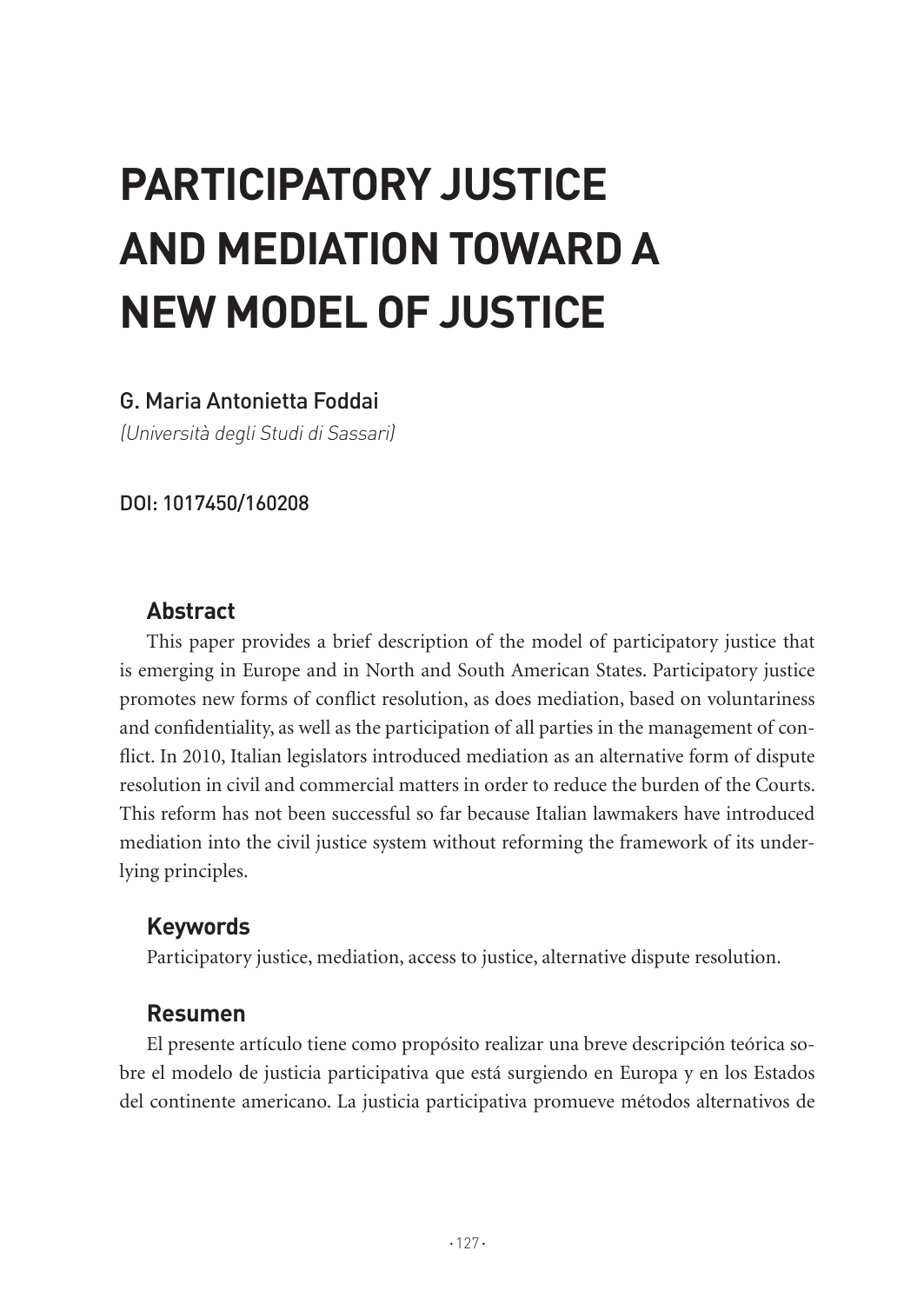# **PARTICIPATORY JUSTICE AND MEDIATION TOWARD A NEW MODEL OF JUSTICE**

## G. Maria Antonietta Foddai

(Università degli Studi di Sassari)

DOI: 1017450/160208

## **Abstract**

This paper provides a brief description of the model of participatory justice that is emerging in Europe and in North and South American States. Participatory justice promotes new forms of conflict resolution, as does mediation, based on voluntariness and confidentiality, as well as the participation of all parties in the management of conflict. In 2010, Italian legislators introduced mediation as an alternative form of dispute resolution in civil and commercial matters in order to reduce the burden of the Courts. This reform has not been successful so far because Italian lawmakers have introduced mediation into the civil justice system without reforming the framework of its underlying principles.

# **Keywords**

Participatory justice, mediation, access to justice, alternative dispute resolution.

#### **Resumen**

El presente artículo tiene como propósito realizar una breve descripción teórica sobre el modelo de justicia participativa que está surgiendo en Europa y en los Estados del continente americano. La justicia participativa promueve métodos alternativos de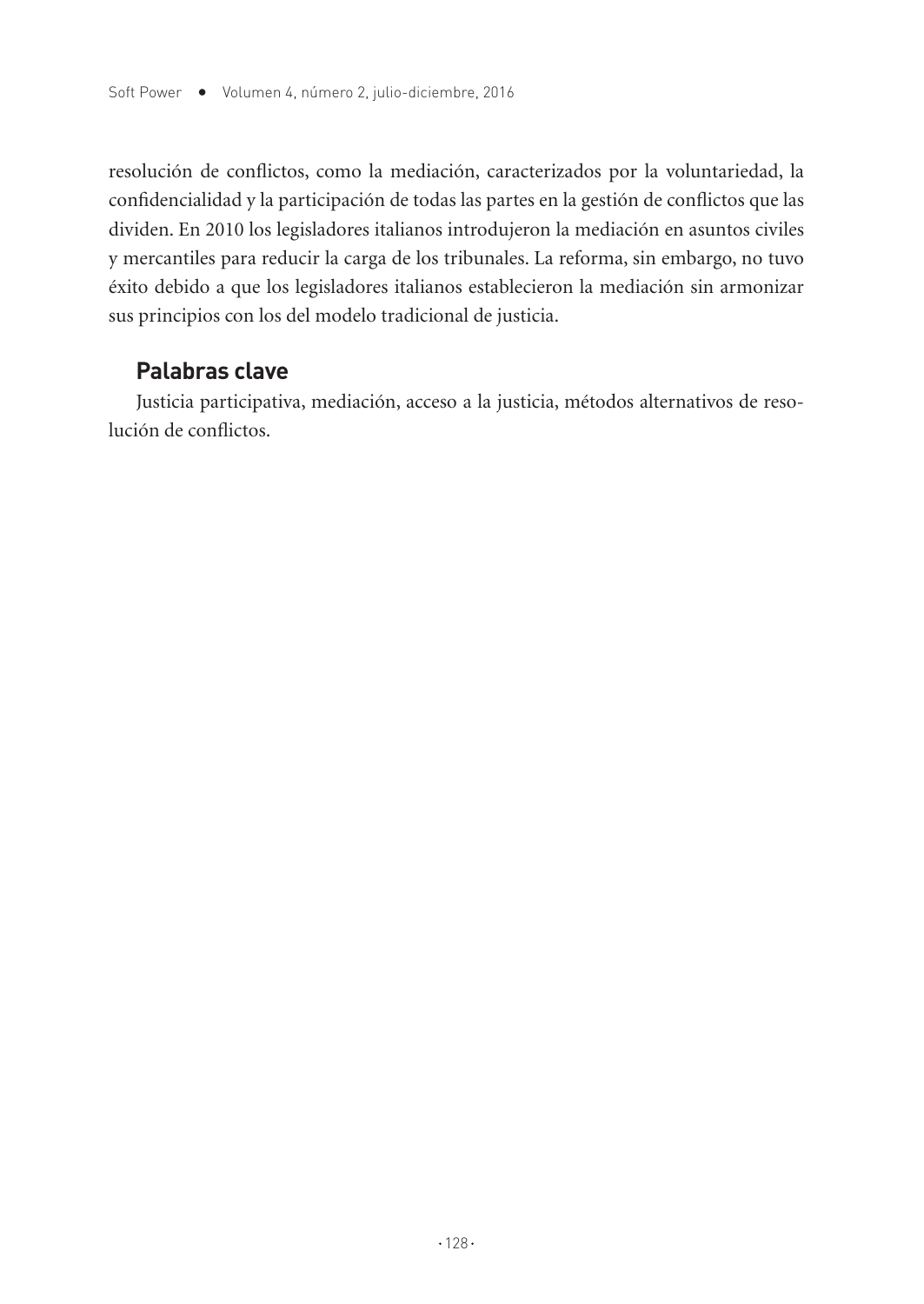resolución de conflictos, como la mediación, caracterizados por la voluntariedad, la confidencialidad y la participación de todas las partes en la gestión de conflictos que las dividen. En 2010 los legisladores italianos introdujeron la mediación en asuntos civiles y mercantiles para reducir la carga de los tribunales. La reforma, sin embargo, no tuvo éxito debido a que los legisladores italianos establecieron la mediación sin armonizar sus principios con los del modelo tradicional de justicia.

#### **Palabras clave**

Justicia participativa, mediación, acceso a la justicia, métodos alternativos de resolución de conflictos.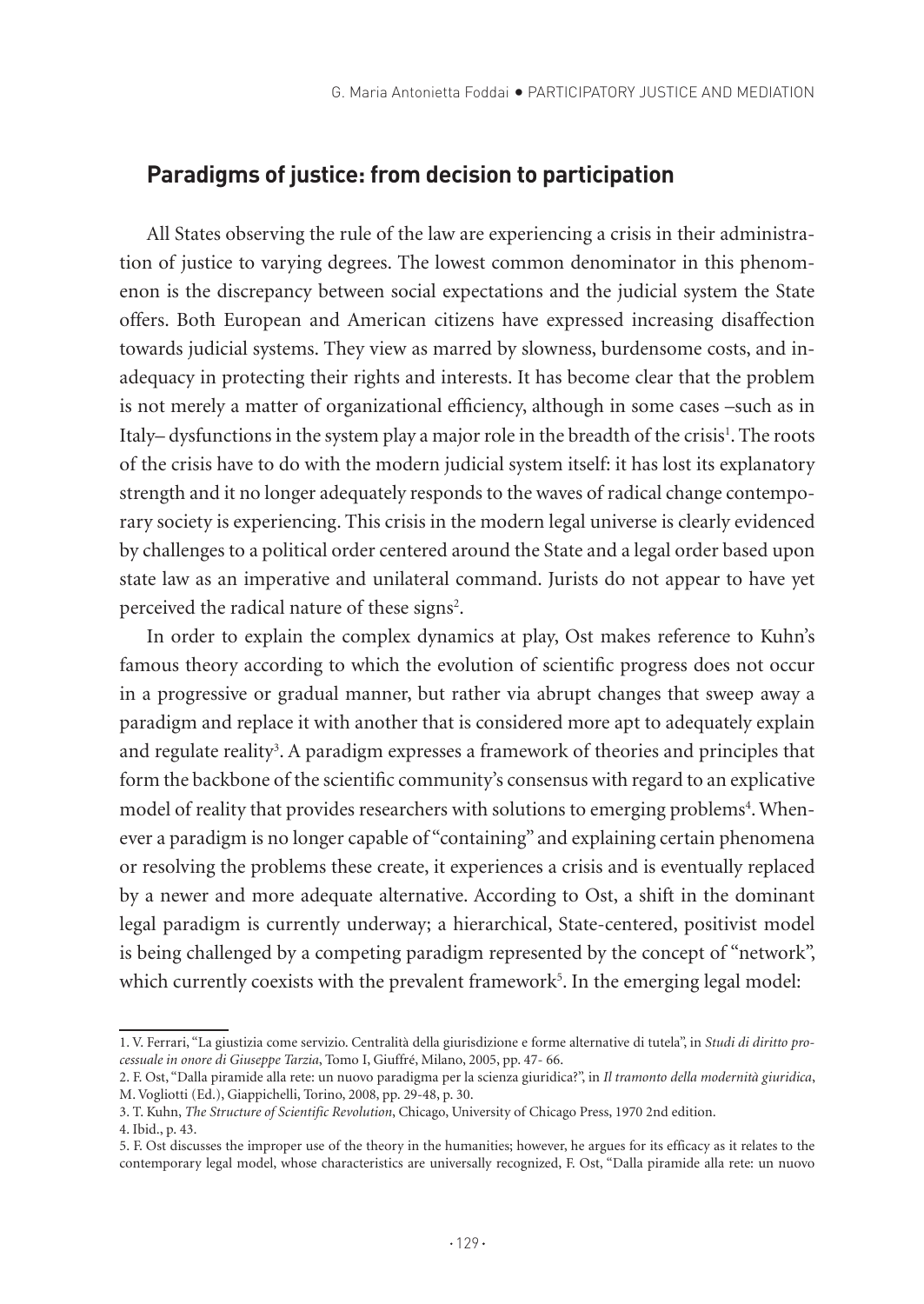### **Paradigms of justice: from decision to participation**

All States observing the rule of the law are experiencing a crisis in their administration of justice to varying degrees. The lowest common denominator in this phenomenon is the discrepancy between social expectations and the judicial system the State offers. Both European and American citizens have expressed increasing disaffection towards judicial systems. They view as marred by slowness, burdensome costs, and inadequacy in protecting their rights and interests. It has become clear that the problem is not merely a matter of organizational efficiency, although in some cases –such as in Italy– dysfunctions in the system play a major role in the breadth of the crisis<sup>1</sup>. The roots of the crisis have to do with the modern judicial system itself: it has lost its explanatory strength and it no longer adequately responds to the waves of radical change contemporary society is experiencing. This crisis in the modern legal universe is clearly evidenced by challenges to a political order centered around the State and a legal order based upon state law as an imperative and unilateral command. Jurists do not appear to have yet perceived the radical nature of these signs<sup>2</sup>.

In order to explain the complex dynamics at play, Ost makes reference to Kuhn's famous theory according to which the evolution of scientific progress does not occur in a progressive or gradual manner, but rather via abrupt changes that sweep away a paradigm and replace it with another that is considered more apt to adequately explain and regulate reality<sup>3</sup>. A paradigm expresses a framework of theories and principles that form the backbone of the scientific community's consensus with regard to an explicative model of reality that provides researchers with solutions to emerging problems<sup>4</sup>. Whenever a paradigm is no longer capable of "containing" and explaining certain phenomena or resolving the problems these create, it experiences a crisis and is eventually replaced by a newer and more adequate alternative. According to Ost, a shift in the dominant legal paradigm is currently underway; a hierarchical, State-centered, positivist model is being challenged by a competing paradigm represented by the concept of "network", which currently coexists with the prevalent framework<sup>5</sup>. In the emerging legal model:

<sup>1.</sup> V. Ferrari, "La giustizia come servizio. Centralità della giurisdizione e forme alternative di tutela", in *Studi di diritto processuale in onore di Giuseppe Tarzia*, Tomo I, Giuffré, Milano, 2005, pp. 47- 66.

<sup>2.</sup> F. Ost, "Dalla piramide alla rete: un nuovo paradigma per la scienza giuridica?", in *Il tramonto della modernità giuridica*, M. Vogliotti (Ed.), Giappichelli, Torino, 2008, pp. 29-48, p. 30.

<sup>3.</sup> T. Kuhn, *The Structure of Scientific Revolution*, Chicago, University of Chicago Press, 1970 2nd edition.

<sup>4.</sup> Ibid., p. 43.

<sup>5.</sup> F. Ost discusses the improper use of the theory in the humanities; however, he argues for its efficacy as it relates to the contemporary legal model, whose characteristics are universally recognized, F. Ost, "Dalla piramide alla rete: un nuovo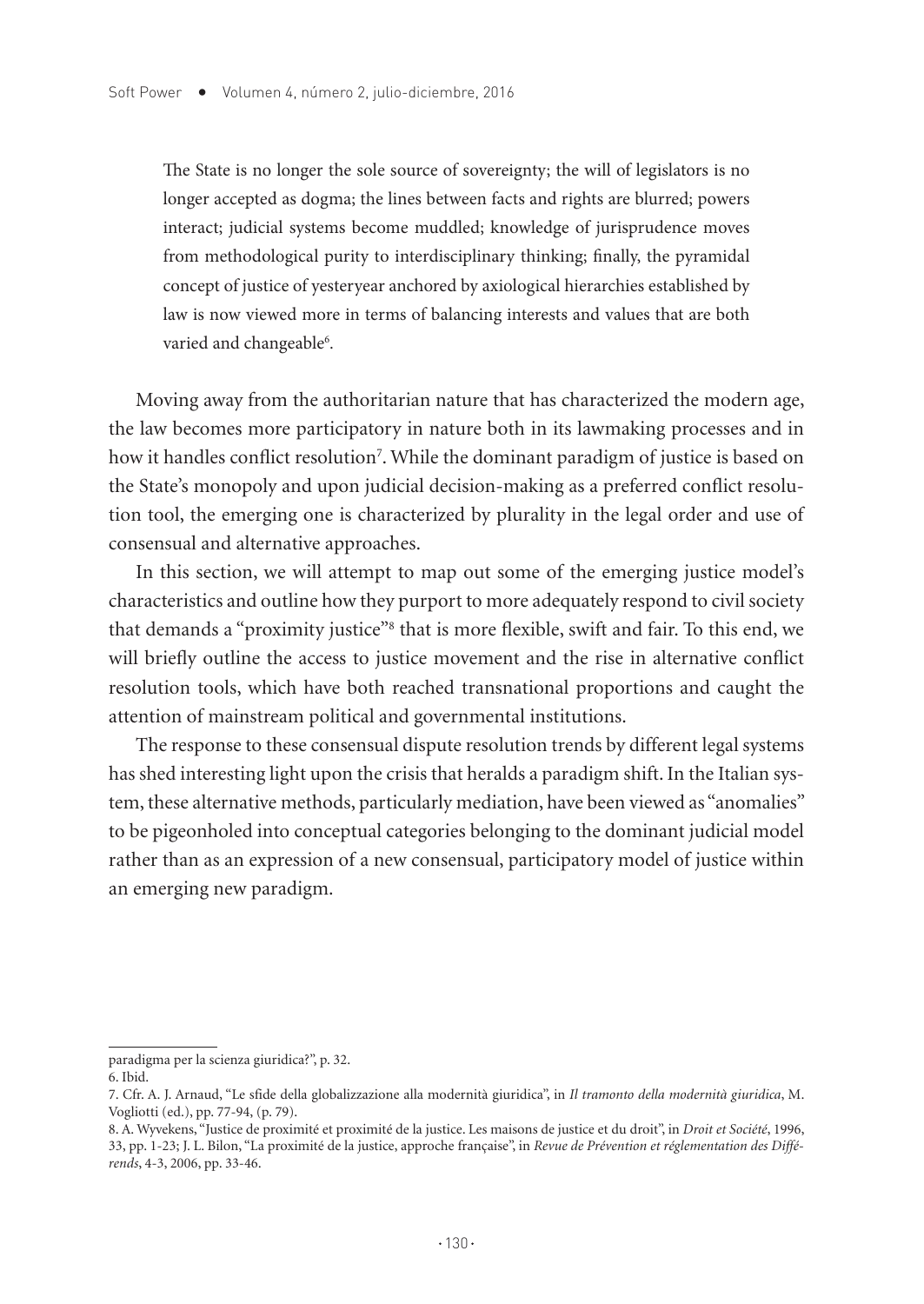The State is no longer the sole source of sovereignty; the will of legislators is no longer accepted as dogma; the lines between facts and rights are blurred; powers interact; judicial systems become muddled; knowledge of jurisprudence moves from methodological purity to interdisciplinary thinking; finally, the pyramidal concept of justice of yesteryear anchored by axiological hierarchies established by law is now viewed more in terms of balancing interests and values that are both varied and changeable<sup>6</sup>.

Moving away from the authoritarian nature that has characterized the modern age, the law becomes more participatory in nature both in its lawmaking processes and in how it handles conflict resolution<sup>7</sup>. While the dominant paradigm of justice is based on the State's monopoly and upon judicial decision-making as a preferred conflict resolution tool, the emerging one is characterized by plurality in the legal order and use of consensual and alternative approaches.

In this section, we will attempt to map out some of the emerging justice model's characteristics and outline how they purport to more adequately respond to civil society that demands a "proximity justice"<sup>8</sup> that is more flexible, swift and fair. To this end, we will briefly outline the access to justice movement and the rise in alternative conflict resolution tools, which have both reached transnational proportions and caught the attention of mainstream political and governmental institutions.

The response to these consensual dispute resolution trends by different legal systems has shed interesting light upon the crisis that heralds a paradigm shift. In the Italian system, these alternative methods, particularly mediation, have been viewed as "anomalies" to be pigeonholed into conceptual categories belonging to the dominant judicial model rather than as an expression of a new consensual, participatory model of justice within an emerging new paradigm.

paradigma per la scienza giuridica?", p. 32.

<sup>6.</sup> Ibid.

<sup>7.</sup> Cfr. A. J. Arnaud, "Le sfide della globalizzazione alla modernità giuridica", in *Il tramonto della modernità giuridica*, M. Vogliotti (ed.), pp. 77-94, (p. 79).

<sup>8.</sup> A. Wyvekens, "Justice de proximité et proximité de la justice. Les maisons de justice et du droit", in *Droit et Société*, 1996, 33, pp. 1-23; J. L. Bilon, "La proximité de la justice, approche française", in *Revue de Prévention et réglementation des Différends*, 4-3, 2006, pp. 33-46.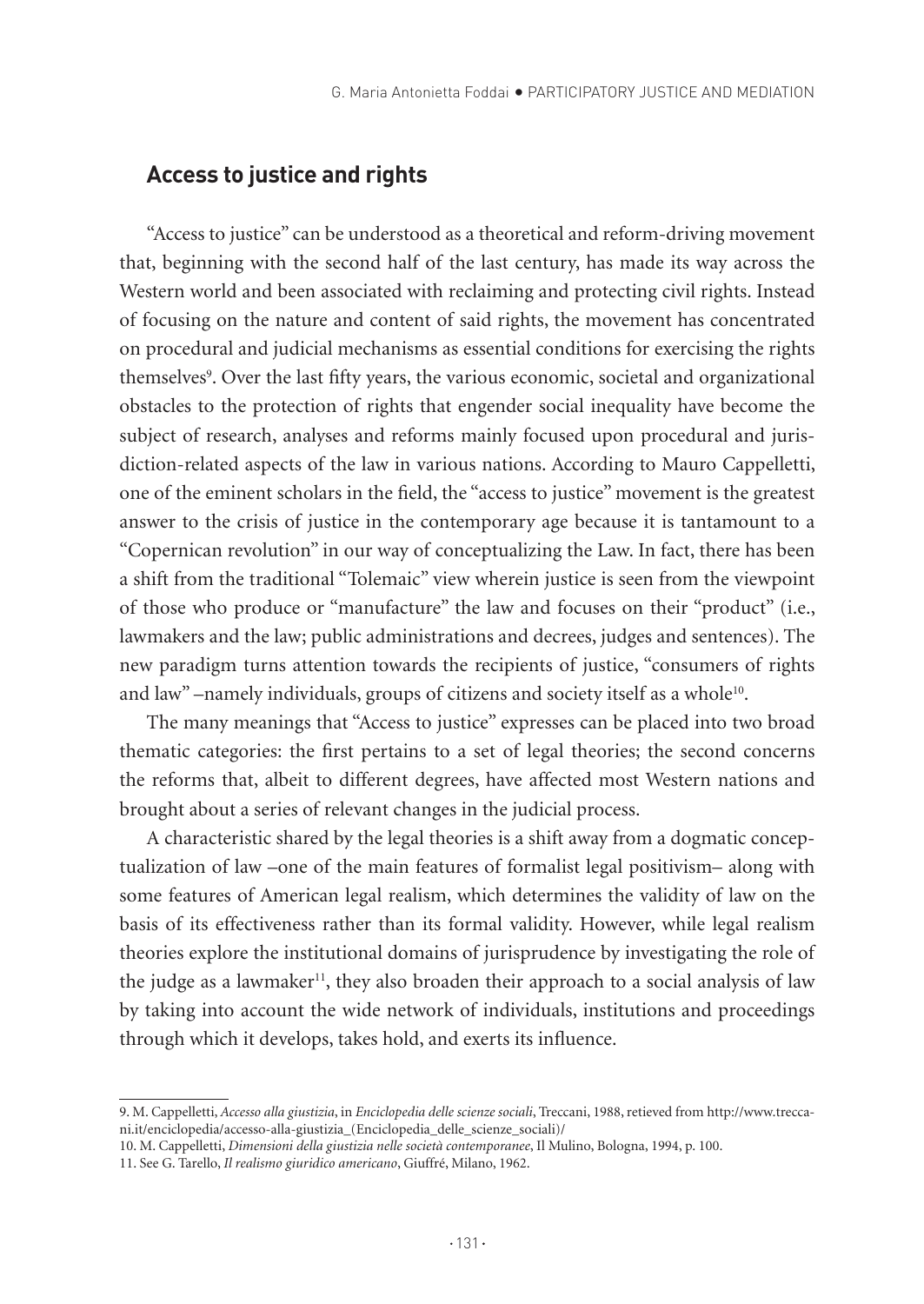## **Access to justice and rights**

"Access to justice" can be understood as a theoretical and reform-driving movement that, beginning with the second half of the last century, has made its way across the Western world and been associated with reclaiming and protecting civil rights. Instead of focusing on the nature and content of said rights, the movement has concentrated on procedural and judicial mechanisms as essential conditions for exercising the rights themselves<sup>9</sup>. Over the last fifty years, the various economic, societal and organizational obstacles to the protection of rights that engender social inequality have become the subject of research, analyses and reforms mainly focused upon procedural and jurisdiction-related aspects of the law in various nations. According to Mauro Cappelletti, one of the eminent scholars in the field, the "access to justice" movement is the greatest answer to the crisis of justice in the contemporary age because it is tantamount to a "Copernican revolution" in our way of conceptualizing the Law. In fact, there has been a shift from the traditional "Tolemaic" view wherein justice is seen from the viewpoint of those who produce or "manufacture" the law and focuses on their "product" (i.e., lawmakers and the law; public administrations and decrees, judges and sentences). The new paradigm turns attention towards the recipients of justice, "consumers of rights and law" –namely individuals, groups of citizens and society itself as a whole<sup>10</sup>.

The many meanings that "Access to justice" expresses can be placed into two broad thematic categories: the first pertains to a set of legal theories; the second concerns the reforms that, albeit to different degrees, have affected most Western nations and brought about a series of relevant changes in the judicial process.

A characteristic shared by the legal theories is a shift away from a dogmatic conceptualization of law –one of the main features of formalist legal positivism– along with some features of American legal realism, which determines the validity of law on the basis of its effectiveness rather than its formal validity. However, while legal realism theories explore the institutional domains of jurisprudence by investigating the role of the judge as a lawmaker<sup>11</sup>, they also broaden their approach to a social analysis of law by taking into account the wide network of individuals, institutions and proceedings through which it develops, takes hold, and exerts its influence.

<sup>9.</sup> M. Cappelletti, *Accesso alla giustizia*, in *Enciclopedia delle scienze sociali*, Treccani, 1988, retieved from http://www.treccani.it/enciclopedia/accesso-alla-giustizia\_(Enciclopedia\_delle\_scienze\_sociali)/

<sup>10</sup>. M. Cappelletti, *Dimensioni della giustizia nelle società contemporanee*, Il Mulino, Bologna, 1994, p. 100.

<sup>11.</sup> See G. Tarello, *Il realismo giuridico americano*, Giuffré, Milano, 1962.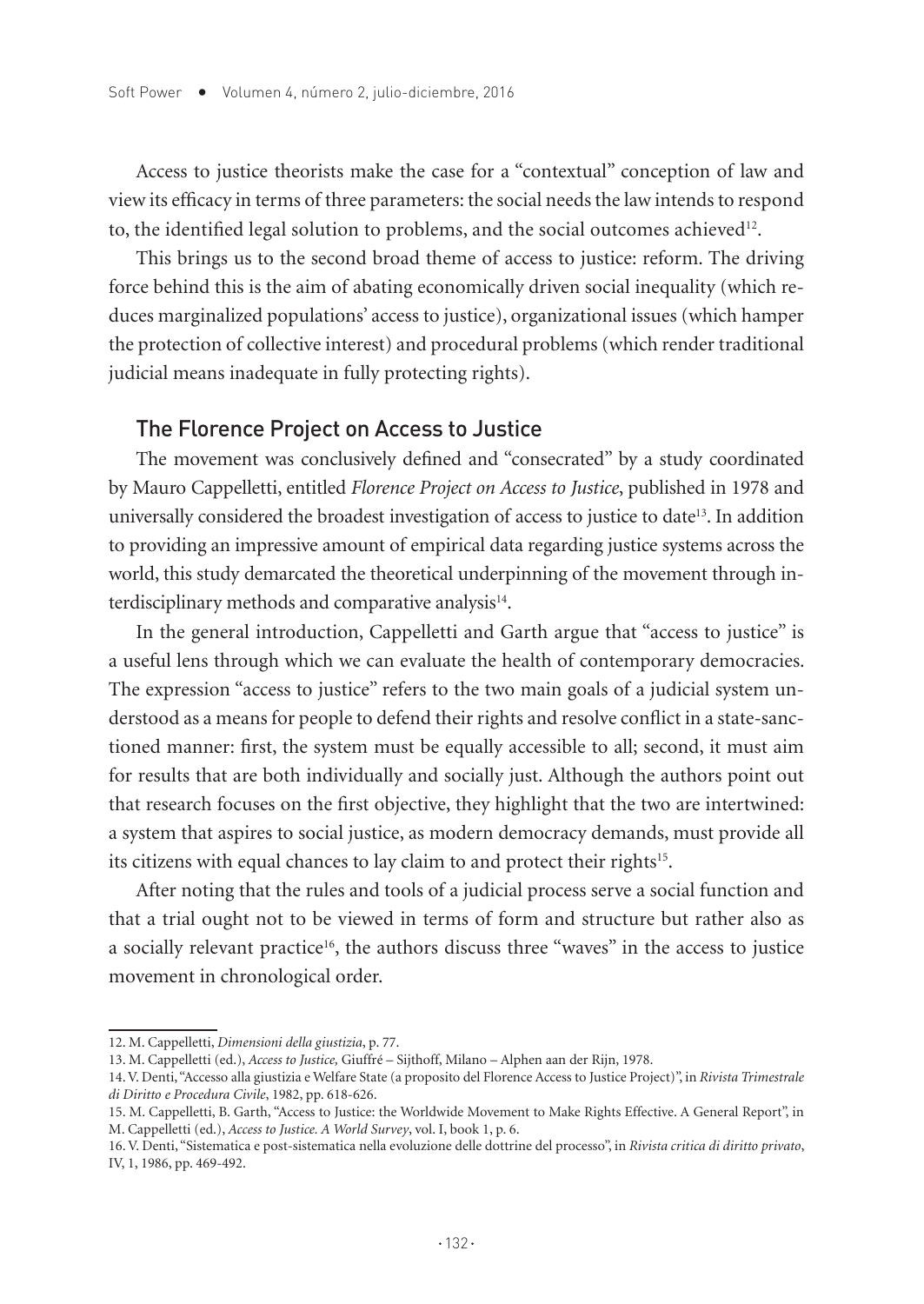Access to justice theorists make the case for a "contextual" conception of law and view its efficacy in terms of three parameters: the social needs the law intends to respond to, the identified legal solution to problems, and the social outcomes achieved<sup>12</sup>.

This brings us to the second broad theme of access to justice: reform. The driving force behind this is the aim of abating economically driven social inequality (which reduces marginalized populations' access to justice), organizational issues (which hamper the protection of collective interest) and procedural problems (which render traditional judicial means inadequate in fully protecting rights).

#### The Florence Project on Access to Justice

The movement was conclusively defined and "consecrated" by a study coordinated by Mauro Cappelletti, entitled *Florence Project on Access to Justice*, published in 1978 and universally considered the broadest investigation of access to justice to date13. In addition to providing an impressive amount of empirical data regarding justice systems across the world, this study demarcated the theoretical underpinning of the movement through interdisciplinary methods and comparative analysis<sup>14</sup>.

In the general introduction, Cappelletti and Garth argue that "access to justice" is a useful lens through which we can evaluate the health of contemporary democracies. The expression "access to justice" refers to the two main goals of a judicial system understood as a means for people to defend their rights and resolve conflict in a state-sanctioned manner: first, the system must be equally accessible to all; second, it must aim for results that are both individually and socially just. Although the authors point out that research focuses on the first objective, they highlight that the two are intertwined: a system that aspires to social justice, as modern democracy demands, must provide all its citizens with equal chances to lay claim to and protect their rights<sup>15</sup>.

After noting that the rules and tools of a judicial process serve a social function and that a trial ought not to be viewed in terms of form and structure but rather also as a socially relevant practice<sup>16</sup>, the authors discuss three "waves" in the access to justice movement in chronological order.

<sup>12.</sup> M. Cappelletti, *Dimensioni della giustizia*, p. 77.

<sup>13.</sup> M. Cappelletti (ed.), *Access to Justice,* Giuffré – Sijthoff, Milano – Alphen aan der Rijn, 1978.

<sup>14.</sup> V. Denti, "Accesso alla giustizia e Welfare State (a proposito del Florence Access to Justice Project)", in *Rivista Trimestrale di Diritto e Procedura Civile*, 1982, pp. 618-626.

<sup>15.</sup> M. Cappelletti, B. Garth, "Access to Justice: the Worldwide Movement to Make Rights Effective. A General Report", in M. Cappelletti (ed.), *Access to Justice. A World Survey*, vol. I, book 1, p. 6.

<sup>16.</sup> V. Denti, "Sistematica e post-sistematica nella evoluzione delle dottrine del processo", in *Rivista critica di diritto privato*, IV, 1, 1986, pp. 469-492.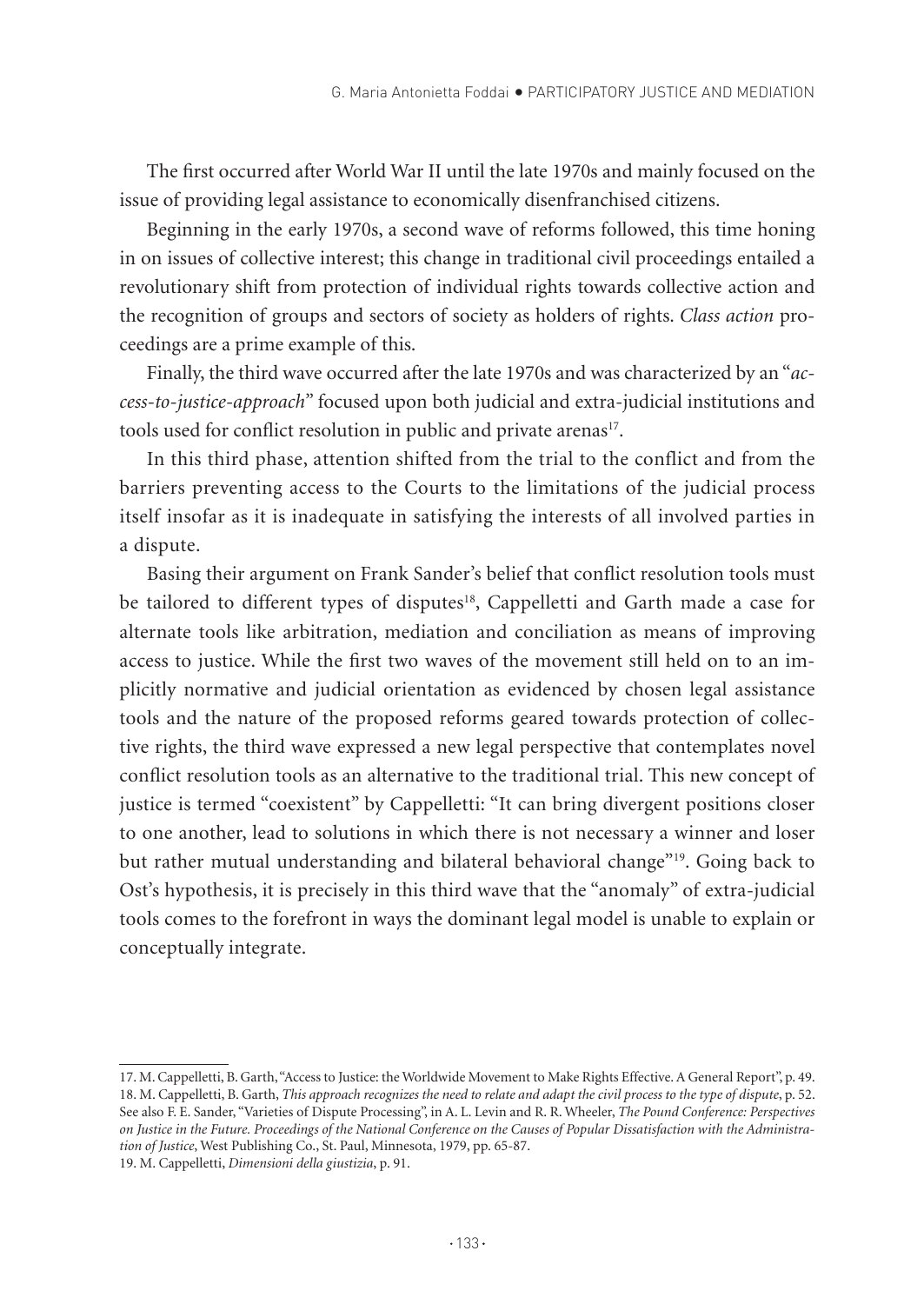The first occurred after World War II until the late 1970s and mainly focused on the issue of providing legal assistance to economically disenfranchised citizens.

Beginning in the early 1970s, a second wave of reforms followed, this time honing in on issues of collective interest; this change in traditional civil proceedings entailed a revolutionary shift from protection of individual rights towards collective action and the recognition of groups and sectors of society as holders of rights. *Class action* proceedings are a prime example of this.

Finally, the third wave occurred after the late 1970s and was characterized by an "*access-to-justice-approach"* focused upon both judicial and extra-judicial institutions and tools used for conflict resolution in public and private arenas<sup>17</sup>.

In this third phase, attention shifted from the trial to the conflict and from the barriers preventing access to the Courts to the limitations of the judicial process itself insofar as it is inadequate in satisfying the interests of all involved parties in a dispute.

Basing their argument on Frank Sander's belief that conflict resolution tools must be tailored to different types of disputes<sup>18</sup>, Cappelletti and Garth made a case for alternate tools like arbitration, mediation and conciliation as means of improving access to justice. While the first two waves of the movement still held on to an implicitly normative and judicial orientation as evidenced by chosen legal assistance tools and the nature of the proposed reforms geared towards protection of collective rights, the third wave expressed a new legal perspective that contemplates novel conflict resolution tools as an alternative to the traditional trial. This new concept of justice is termed "coexistent" by Cappelletti: "It can bring divergent positions closer to one another, lead to solutions in which there is not necessary a winner and loser but rather mutual understanding and bilateral behavioral change"19. Going back to Ost's hypothesis, it is precisely in this third wave that the "anomaly" of extra-judicial tools comes to the forefront in ways the dominant legal model is unable to explain or conceptually integrate.

19. M. Cappelletti, *Dimensioni della giustizia*, p. 91.

<sup>17.</sup> M. Cappelletti, B. Garth, "Access to Justice: the Worldwide Movement to Make Rights Effective. A General Report", p. 49. 18. M. Cappelletti, B. Garth, *This approach recognizes the need to relate and adapt the civil process to the type of dispute*, p. 52. See also F. E. Sander, "Varieties of Dispute Processing", in A. L. Levin and R. R. Wheeler, *The Pound Conference: Perspectives on Justice in the Future. Proceedings of the National Conference on the Causes of Popular Dissatisfaction with the Administration of Justice*, West Publishing Co., St. Paul, Minnesota, 1979, pp. 65-87.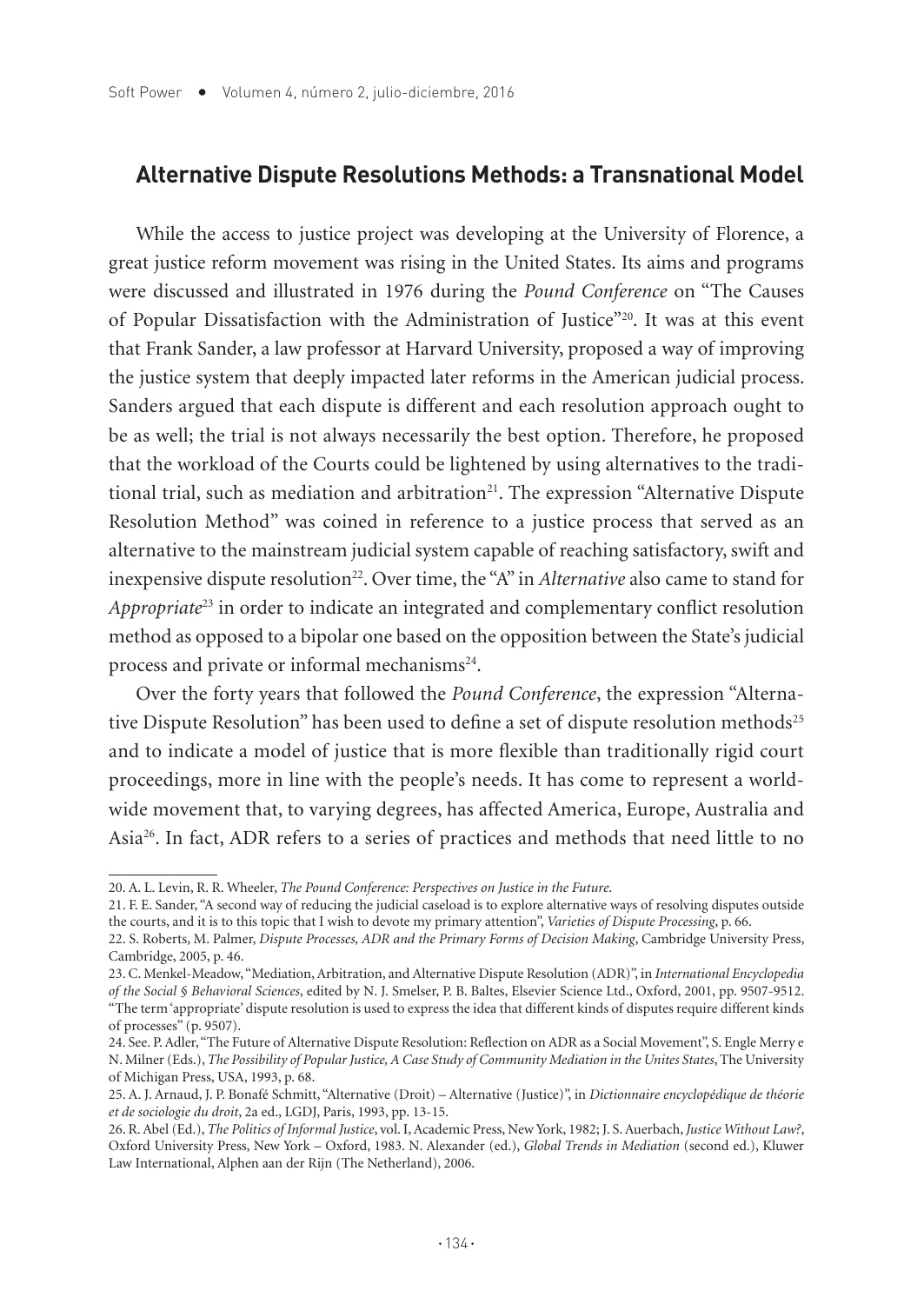#### **Alternative Dispute Resolutions Methods: a Transnational Model**

While the access to justice project was developing at the University of Florence, a great justice reform movement was rising in the United States. Its aims and programs were discussed and illustrated in 1976 during the *Pound Conference* on "The Causes of Popular Dissatisfaction with the Administration of Justice"20. It was at this event that Frank Sander, a law professor at Harvard University, proposed a way of improving the justice system that deeply impacted later reforms in the American judicial process. Sanders argued that each dispute is different and each resolution approach ought to be as well; the trial is not always necessarily the best option. Therefore, he proposed that the workload of the Courts could be lightened by using alternatives to the traditional trial, such as mediation and arbitration<sup>21</sup>. The expression "Alternative Dispute Resolution Method" was coined in reference to a justice process that served as an alternative to the mainstream judicial system capable of reaching satisfactory, swift and inexpensive dispute resolution<sup>22</sup>. Over time, the "A" in *Alternative* also came to stand for *Appropriate*23 in order to indicate an integrated and complementary conflict resolution method as opposed to a bipolar one based on the opposition between the State's judicial process and private or informal mechanisms<sup>24</sup>.

Over the forty years that followed the *Pound Conference*, the expression "Alternative Dispute Resolution" has been used to define a set of dispute resolution methods<sup>25</sup> and to indicate a model of justice that is more flexible than traditionally rigid court proceedings, more in line with the people's needs. It has come to represent a worldwide movement that, to varying degrees, has affected America, Europe, Australia and Asia26. In fact, ADR refers to a series of practices and methods that need little to no

<sup>20.</sup> A. L. Levin, R. R. Wheeler, *The Pound Conference: Perspectives on Justice in the Future*.

<sup>21.</sup> F. E. Sander, "A second way of reducing the judicial caseload is to explore alternative ways of resolving disputes outside the courts, and it is to this topic that I wish to devote my primary attention", *Varieties of Dispute Processing*, p. 66.

<sup>22.</sup> S. Roberts, M. Palmer, *Dispute Processes, ADR and the Primary Forms of Decision Making*, Cambridge University Press, Cambridge, 2005, p. 46.

<sup>23.</sup> C. Menkel-Meadow, "Mediation, Arbitration, and Alternative Dispute Resolution (ADR)", in *International Encyclopedia of the Social § Behavioral Sciences*, edited by N. J. Smelser, P. B. Baltes, Elsevier Science Ltd., Oxford, 2001, pp. 9507-9512. "The term 'appropriate' dispute resolution is used to express the idea that different kinds of disputes require different kinds of processes" (p. 9507).

<sup>24.</sup> See. P. Adler, "The Future of Alternative Dispute Resolution: Reflection on ADR as a Social Movement", S. Engle Merry e N. Milner (Eds.), *The Possibility of Popular Justice, A Case Study of Community Mediation in the Unites States*, The University of Michigan Press, USA, 1993, p. 68.

<sup>25.</sup> A. J. Arnaud, J. P. Bonafé Schmitt, "Alternative (Droit) – Alternative (Justice)", in *Dictionnaire encyclopédique de théorie et de sociologie du droit*, 2a ed., LGDJ, Paris, 1993, pp. 13-15.

<sup>26.</sup> R. Abel (Ed.), *The Politics of Informal Justice*, vol. I, Academic Press, New York, 1982; J. S. Auerbach, *Justice Without Law?*, Oxford University Press, New York – Oxford, 1983. N. Alexander (ed.), *Global Trends in Mediation* (second ed.), Kluwer Law International, Alphen aan der Rijn (The Netherland), 2006.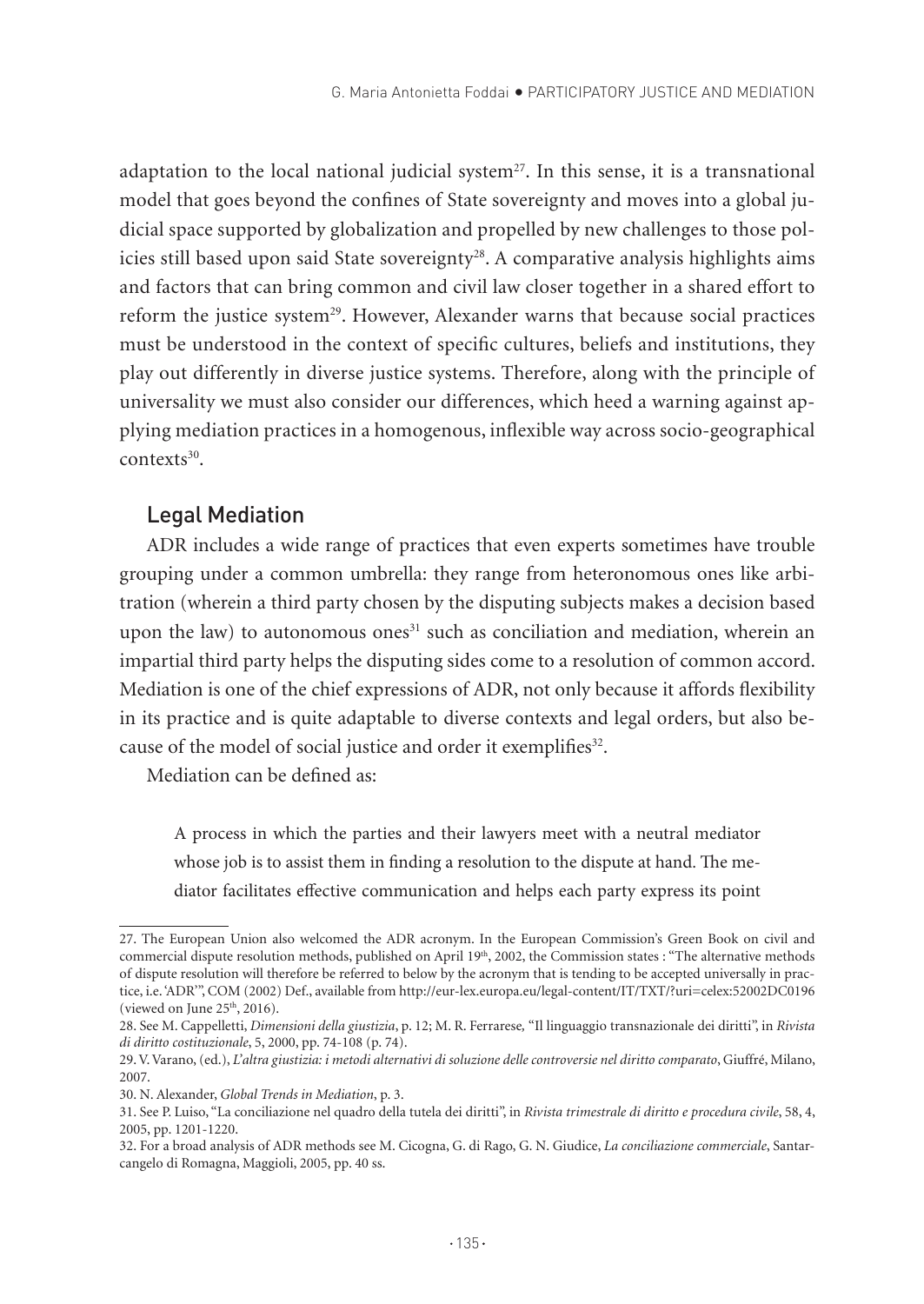adaptation to the local national judicial system $27$ . In this sense, it is a transnational model that goes beyond the confines of State sovereignty and moves into a global judicial space supported by globalization and propelled by new challenges to those policies still based upon said State sovereignty<sup>28</sup>. A comparative analysis highlights aims and factors that can bring common and civil law closer together in a shared effort to reform the justice system<sup>29</sup>. However, Alexander warns that because social practices must be understood in the context of specific cultures, beliefs and institutions, they play out differently in diverse justice systems. Therefore, along with the principle of universality we must also consider our differences, which heed a warning against applying mediation practices in a homogenous, inflexible way across socio-geographical contexts30.

#### Legal Mediation

ADR includes a wide range of practices that even experts sometimes have trouble grouping under a common umbrella: they range from heteronomous ones like arbitration (wherein a third party chosen by the disputing subjects makes a decision based upon the law) to autonomous ones<sup>31</sup> such as conciliation and mediation, wherein an impartial third party helps the disputing sides come to a resolution of common accord. Mediation is one of the chief expressions of ADR, not only because it affords flexibility in its practice and is quite adaptable to diverse contexts and legal orders, but also because of the model of social justice and order it exemplifies<sup>32</sup>.

Mediation can be defined as:

A process in which the parties and their lawyers meet with a neutral mediator whose job is to assist them in finding a resolution to the dispute at hand. The mediator facilitates effective communication and helps each party express its point

<sup>27.</sup> The European Union also welcomed the ADR acronym. In the European Commission's Green Book on civil and commercial dispute resolution methods, published on April 19<sup>th</sup>, 2002, the Commission states : "The alternative methods of dispute resolution will therefore be referred to below by the acronym that is tending to be accepted universally in practice, i.e. 'ADR'", COM (2002) Def., available from http://eur-lex.europa.eu/legal-content/IT/TXT/?uri=celex:52002DC0196 (viewed on June  $25<sup>th</sup>$ , 2016).

<sup>28.</sup> See M. Cappelletti, *Dimensioni della giustizia*, p. 12; M. R. Ferrarese*,* "Il linguaggio transnazionale dei diritti", in *Rivista di diritto costituzionale*, 5, 2000, pp. 74-108 (p. 74).

<sup>29.</sup> V. Varano, (ed.), *L'altra giustizia: i metodi alternativi di soluzione delle controversie nel diritto comparato*, Giuffré, Milano, 2007.

<sup>30.</sup> N. Alexander, *Global Trends in Mediation*, p. 3.

<sup>31.</sup> See P. Luiso, "La conciliazione nel quadro della tutela dei diritti", in *Rivista trimestrale di diritto e procedura civile*, 58, 4, 2005, pp. 1201-1220.

<sup>32.</sup> For a broad analysis of ADR methods see M. Cicogna, G. di Rago, G. N. Giudice, *La conciliazione commerciale*, Santarcangelo di Romagna, Maggioli, 2005, pp. 40 ss.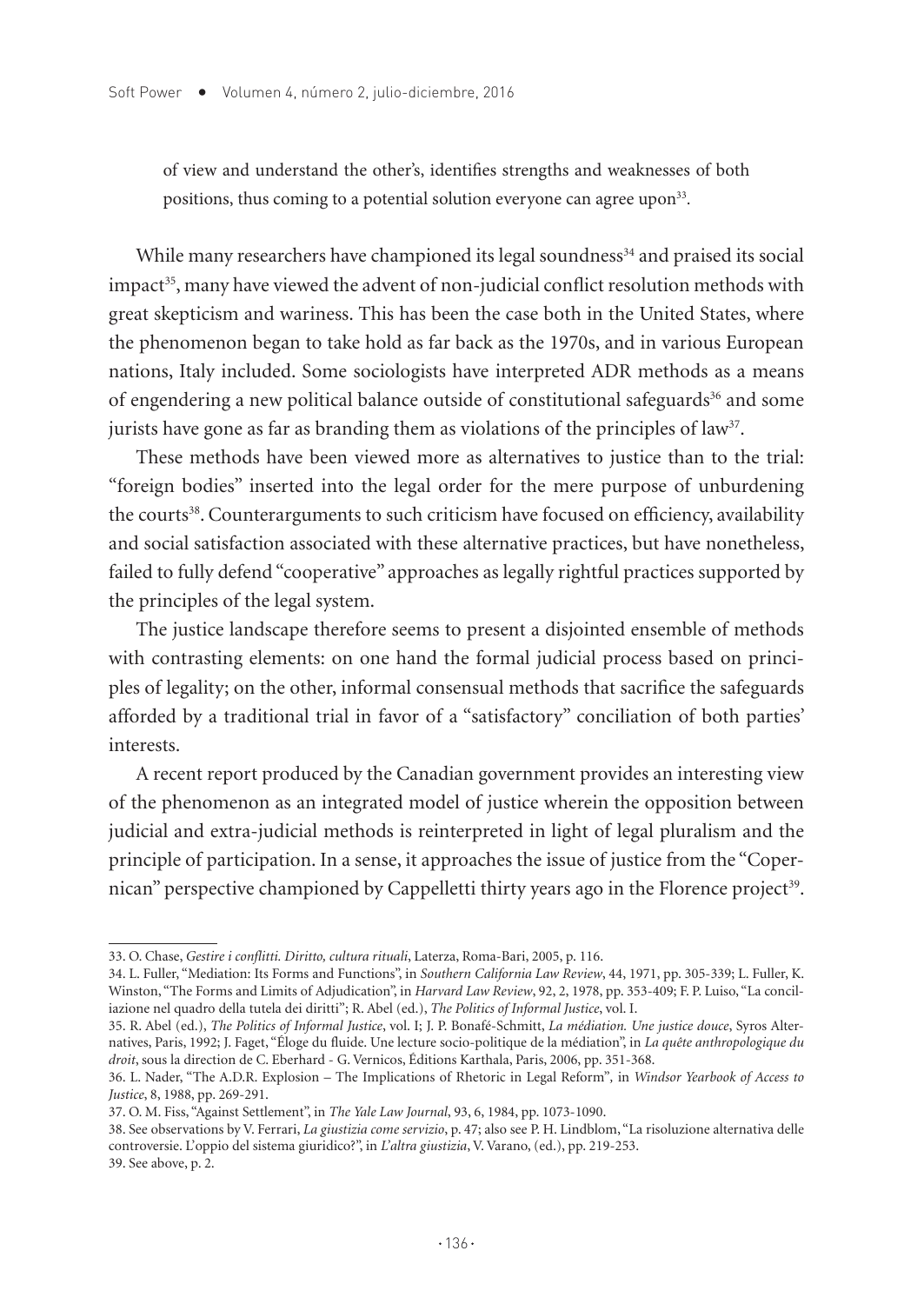of view and understand the other's, identifies strengths and weaknesses of both positions, thus coming to a potential solution everyone can agree upon<sup>33</sup>.

While many researchers have championed its legal soundness<sup>34</sup> and praised its social impact<sup>35</sup>, many have viewed the advent of non-judicial conflict resolution methods with great skepticism and wariness. This has been the case both in the United States, where the phenomenon began to take hold as far back as the 1970s, and in various European nations, Italy included. Some sociologists have interpreted ADR methods as a means of engendering a new political balance outside of constitutional safeguards<sup>36</sup> and some jurists have gone as far as branding them as violations of the principles of  $law<sup>37</sup>$ .

These methods have been viewed more as alternatives to justice than to the trial: "foreign bodies" inserted into the legal order for the mere purpose of unburdening the courts<sup>38</sup>. Counterarguments to such criticism have focused on efficiency, availability and social satisfaction associated with these alternative practices, but have nonetheless, failed to fully defend "cooperative" approaches as legally rightful practices supported by the principles of the legal system.

The justice landscape therefore seems to present a disjointed ensemble of methods with contrasting elements: on one hand the formal judicial process based on principles of legality; on the other, informal consensual methods that sacrifice the safeguards afforded by a traditional trial in favor of a "satisfactory" conciliation of both parties' interests.

A recent report produced by the Canadian government provides an interesting view of the phenomenon as an integrated model of justice wherein the opposition between judicial and extra-judicial methods is reinterpreted in light of legal pluralism and the principle of participation. In a sense, it approaches the issue of justice from the "Copernican" perspective championed by Cappelletti thirty years ago in the Florence project<sup>39</sup>.

<sup>33.</sup> O. Chase, *Gestire i conflitti. Diritto, cultura rituali*, Laterza, Roma-Bari, 2005, p. 116.

<sup>34.</sup> L. Fuller, "Mediation: Its Forms and Functions", in *Southern California Law Review*, 44, 1971, pp. 305-339; L. Fuller, K. Winston, "The Forms and Limits of Adjudication", in *Harvard Law Review*, 92, 2, 1978, pp. 353-409; F. P. Luiso, "La conciliazione nel quadro della tutela dei diritti"; R. Abel (ed.), *The Politics of Informal Justice*, vol. I.

<sup>35.</sup> R. Abel (ed.), *The Politics of Informal Justice*, vol. I; J. P. Bonafé-Schmitt, *La médiation. Une justice douce*, Syros Alternatives, Paris, 1992; J. Faget, "Éloge du fluide. Une lecture socio-politique de la médiation", in *La quête anthropologique du droit*, sous la direction de C. Eberhard - G. Vernicos, Éditions Karthala, Paris, 2006, pp. 351-368.

<sup>36.</sup> L. Nader, "The A.D.R. Explosion – The Implications of Rhetoric in Legal Reform"*,* in *Windsor Yearbook of Access to Justice*, 8, 1988, pp. 269-291.

<sup>37.</sup> O. M. Fiss, "Against Settlement", in *The Yale Law Journal*, 93, 6, 1984, pp. 1073-1090.

<sup>38.</sup> See observations by V. Ferrari, *La giustizia come servizio*, p. 47; also see P. H. Lindblom, "La risoluzione alternativa delle controversie. L'oppio del sistema giuridico?", in *L'altra giustizia*, V. Varano, (ed.), pp. 219-253. 39. See above, p. 2.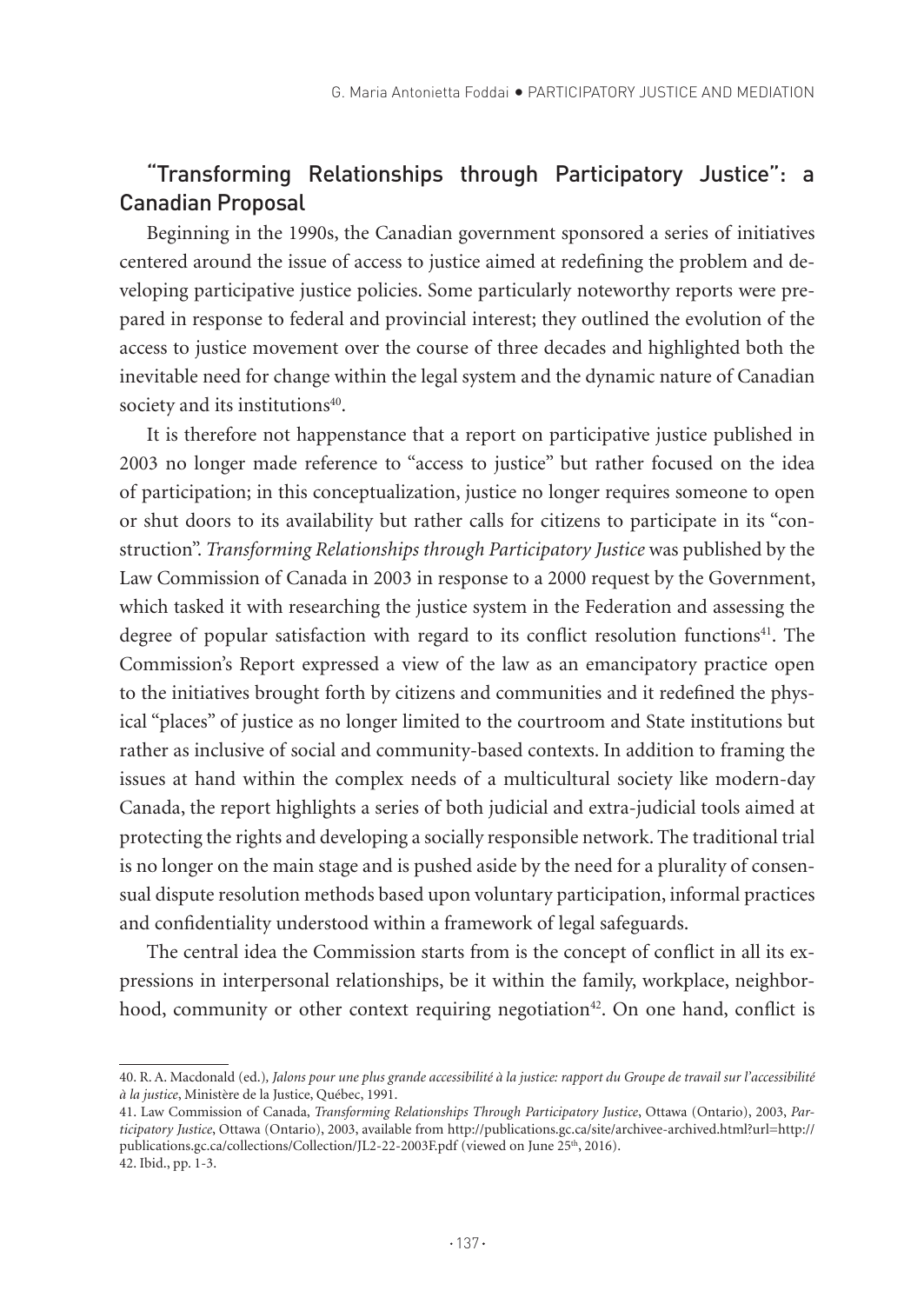# "Transforming Relationships through Participatory Justice": a Canadian Proposal

Beginning in the 1990s, the Canadian government sponsored a series of initiatives centered around the issue of access to justice aimed at redefining the problem and developing participative justice policies. Some particularly noteworthy reports were prepared in response to federal and provincial interest; they outlined the evolution of the access to justice movement over the course of three decades and highlighted both the inevitable need for change within the legal system and the dynamic nature of Canadian society and its institutions<sup>40</sup>.

It is therefore not happenstance that a report on participative justice published in 2003 no longer made reference to "access to justice" but rather focused on the idea of participation; in this conceptualization, justice no longer requires someone to open or shut doors to its availability but rather calls for citizens to participate in its "construction". *Transforming Relationships through Participatory Justice* was published by the Law Commission of Canada in 2003 in response to a 2000 request by the Government, which tasked it with researching the justice system in the Federation and assessing the degree of popular satisfaction with regard to its conflict resolution functions<sup>41</sup>. The Commission's Report expressed a view of the law as an emancipatory practice open to the initiatives brought forth by citizens and communities and it redefined the physical "places" of justice as no longer limited to the courtroom and State institutions but rather as inclusive of social and community-based contexts. In addition to framing the issues at hand within the complex needs of a multicultural society like modern-day Canada, the report highlights a series of both judicial and extra-judicial tools aimed at protecting the rights and developing a socially responsible network. The traditional trial is no longer on the main stage and is pushed aside by the need for a plurality of consensual dispute resolution methods based upon voluntary participation, informal practices and confidentiality understood within a framework of legal safeguards.

The central idea the Commission starts from is the concept of conflict in all its expressions in interpersonal relationships, be it within the family, workplace, neighborhood, community or other context requiring negotiation<sup>42</sup>. On one hand, conflict is

<sup>40.</sup> R. A. Macdonald (ed.)*, Jalons pour une plus grande accessibilité à la justice: rapport du Groupe de travail sur l'accessibilité à la justice*, Ministère de la Justice, Québec, 1991.

<sup>41.</sup> Law Commission of Canada, *Transforming Relationships Through Participatory Justice*, Ottawa (Ontario), 2003, *Participatory Justice*, Ottawa (Ontario), 2003, available from http://publications.gc.ca/site/archivee-archived.html?url=http:// publications.gc.ca/collections/Collection/JL2-22-2003F.pdf (viewed on June 25<sup>th</sup>, 2016). 42. Ibid., pp. 1-3.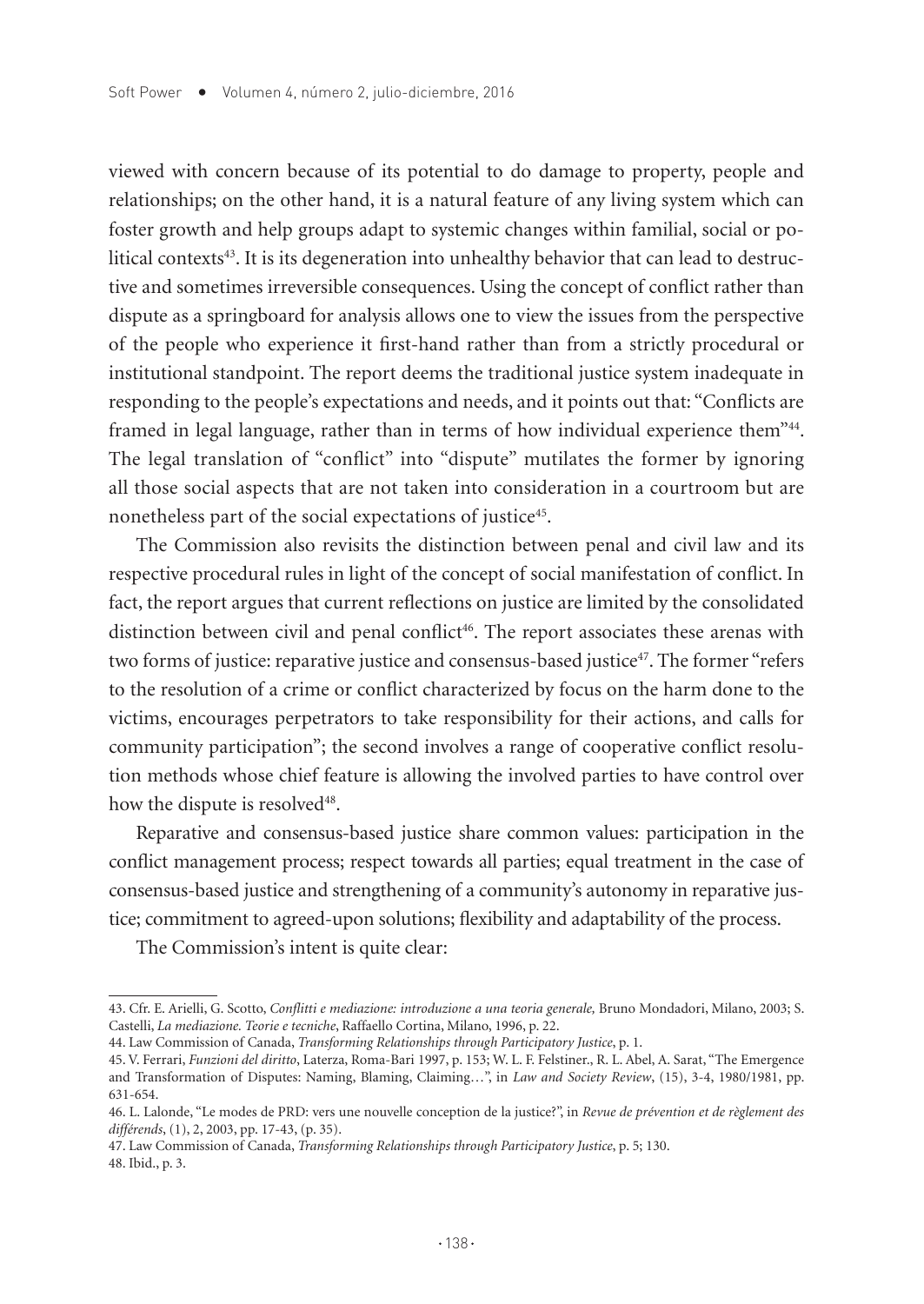viewed with concern because of its potential to do damage to property, people and relationships; on the other hand, it is a natural feature of any living system which can foster growth and help groups adapt to systemic changes within familial, social or political contexts $43$ . It is its degeneration into unhealthy behavior that can lead to destructive and sometimes irreversible consequences. Using the concept of conflict rather than dispute as a springboard for analysis allows one to view the issues from the perspective of the people who experience it first-hand rather than from a strictly procedural or institutional standpoint. The report deems the traditional justice system inadequate in responding to the people's expectations and needs, and it points out that: "Conflicts are framed in legal language, rather than in terms of how individual experience them"44. The legal translation of "conflict" into "dispute" mutilates the former by ignoring all those social aspects that are not taken into consideration in a courtroom but are nonetheless part of the social expectations of justice<sup>45</sup>.

The Commission also revisits the distinction between penal and civil law and its respective procedural rules in light of the concept of social manifestation of conflict. In fact, the report argues that current reflections on justice are limited by the consolidated distinction between civil and penal conflict<sup>46</sup>. The report associates these arenas with two forms of justice: reparative justice and consensus-based justice47. The former "refers to the resolution of a crime or conflict characterized by focus on the harm done to the victims, encourages perpetrators to take responsibility for their actions, and calls for community participation"; the second involves a range of cooperative conflict resolution methods whose chief feature is allowing the involved parties to have control over how the dispute is resolved<sup>48</sup>.

Reparative and consensus-based justice share common values: participation in the conflict management process; respect towards all parties; equal treatment in the case of consensus-based justice and strengthening of a community's autonomy in reparative justice; commitment to agreed-upon solutions; flexibility and adaptability of the process.

The Commission's intent is quite clear:

47. Law Commission of Canada, *Transforming Relationships through Participatory Justice*, p. 5; 130. 48. Ibid., p. 3.

<sup>43.</sup> Cfr. E. Arielli, G. Scotto, *Conflitti e mediazione: introduzione a una teoria generale,* Bruno Mondadori, Milano, 2003; S. Castelli, *La mediazione. Teorie e tecniche*, Raffaello Cortina, Milano, 1996, p. 22.

<sup>44.</sup> Law Commission of Canada, *Transforming Relationships through Participatory Justice*, p. 1.

<sup>45.</sup> V. Ferrari, *Funzioni del diritto*, Laterza, Roma-Bari 1997, p. 153; W. L. F. Felstiner., R. L. Abel, A. Sarat, "The Emergence and Transformation of Disputes: Naming, Blaming, Claiming…", in *Law and Society Review*, (15), 3-4, 1980/1981, pp. 631-654.

<sup>46.</sup> L. Lalonde, "Le modes de PRD: vers une nouvelle conception de la justice?", in *Revue de prévention et de règlement des différends*, (1), 2, 2003, pp. 17-43, (p. 35).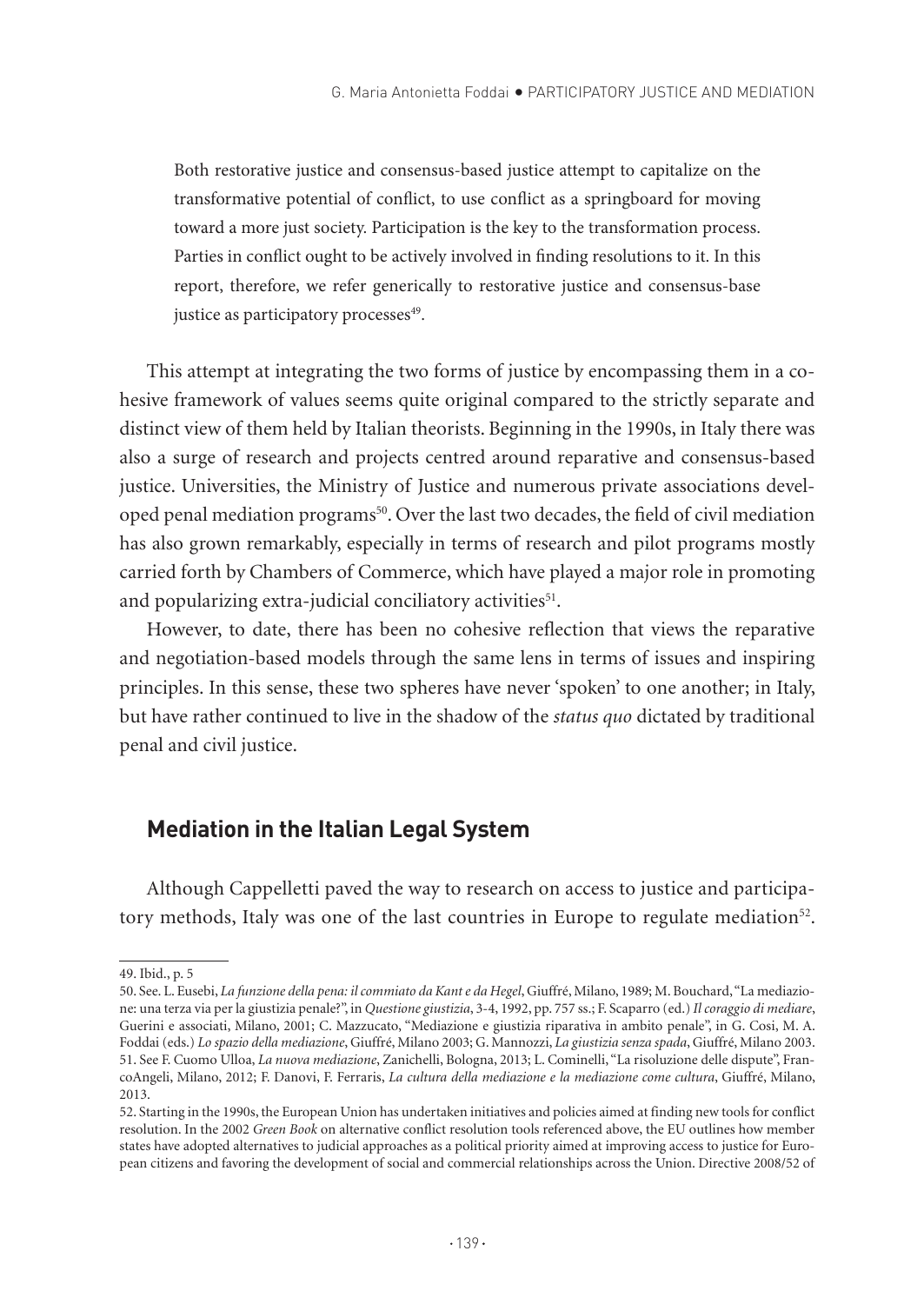Both restorative justice and consensus-based justice attempt to capitalize on the transformative potential of conflict, to use conflict as a springboard for moving toward a more just society. Participation is the key to the transformation process. Parties in conflict ought to be actively involved in finding resolutions to it. In this report, therefore, we refer generically to restorative justice and consensus-base justice as participatory processes<sup>49</sup>.

This attempt at integrating the two forms of justice by encompassing them in a cohesive framework of values seems quite original compared to the strictly separate and distinct view of them held by Italian theorists. Beginning in the 1990s, in Italy there was also a surge of research and projects centred around reparative and consensus-based justice. Universities, the Ministry of Justice and numerous private associations developed penal mediation programs<sup>50</sup>. Over the last two decades, the field of civil mediation has also grown remarkably, especially in terms of research and pilot programs mostly carried forth by Chambers of Commerce, which have played a major role in promoting and popularizing extra-judicial conciliatory activities<sup>51</sup>.

However, to date, there has been no cohesive reflection that views the reparative and negotiation-based models through the same lens in terms of issues and inspiring principles. In this sense, these two spheres have never 'spoken' to one another; in Italy, but have rather continued to live in the shadow of the *status quo* dictated by traditional penal and civil justice.

## **Mediation in the Italian Legal System**

Although Cappelletti paved the way to research on access to justice and participatory methods, Italy was one of the last countries in Europe to regulate mediation<sup>52</sup>.

<sup>49.</sup> Ibid., p. 5

<sup>50.</sup> See. L. Eusebi, *La funzione della pena: il commiato da Kant e da Hegel*, Giuffré, Milano, 1989; M. Bouchard, "La mediazione: una terza via per la giustizia penale?", in *Questione giustizia*, 3-4, 1992, pp. 757 ss.; F. Scaparro (ed.) *Il coraggio di mediare*, Guerini e associati, Milano, 2001; C. Mazzucato, "Mediazione e giustizia riparativa in ambito penale", in G. Cosi, M. A. Foddai (eds.) *Lo spazio della mediazione*, Giuffré, Milano 2003; G. Mannozzi, *La giustizia senza spada*, Giuffré, Milano 2003. 51. See F. Cuomo Ulloa, *La nuova mediazione*, Zanichelli, Bologna, 2013; L. Cominelli, "La risoluzione delle dispute", FrancoAngeli, Milano, 2012; F. Danovi, F. Ferraris, *La cultura della mediazione e la mediazione come cultura*, Giuffré, Milano, 2013.

<sup>52.</sup> Starting in the 1990s, the European Union has undertaken initiatives and policies aimed at finding new tools for conflict resolution. In the 2002 *Green Book* on alternative conflict resolution tools referenced above, the EU outlines how member states have adopted alternatives to judicial approaches as a political priority aimed at improving access to justice for European citizens and favoring the development of social and commercial relationships across the Union. Directive 2008/52 of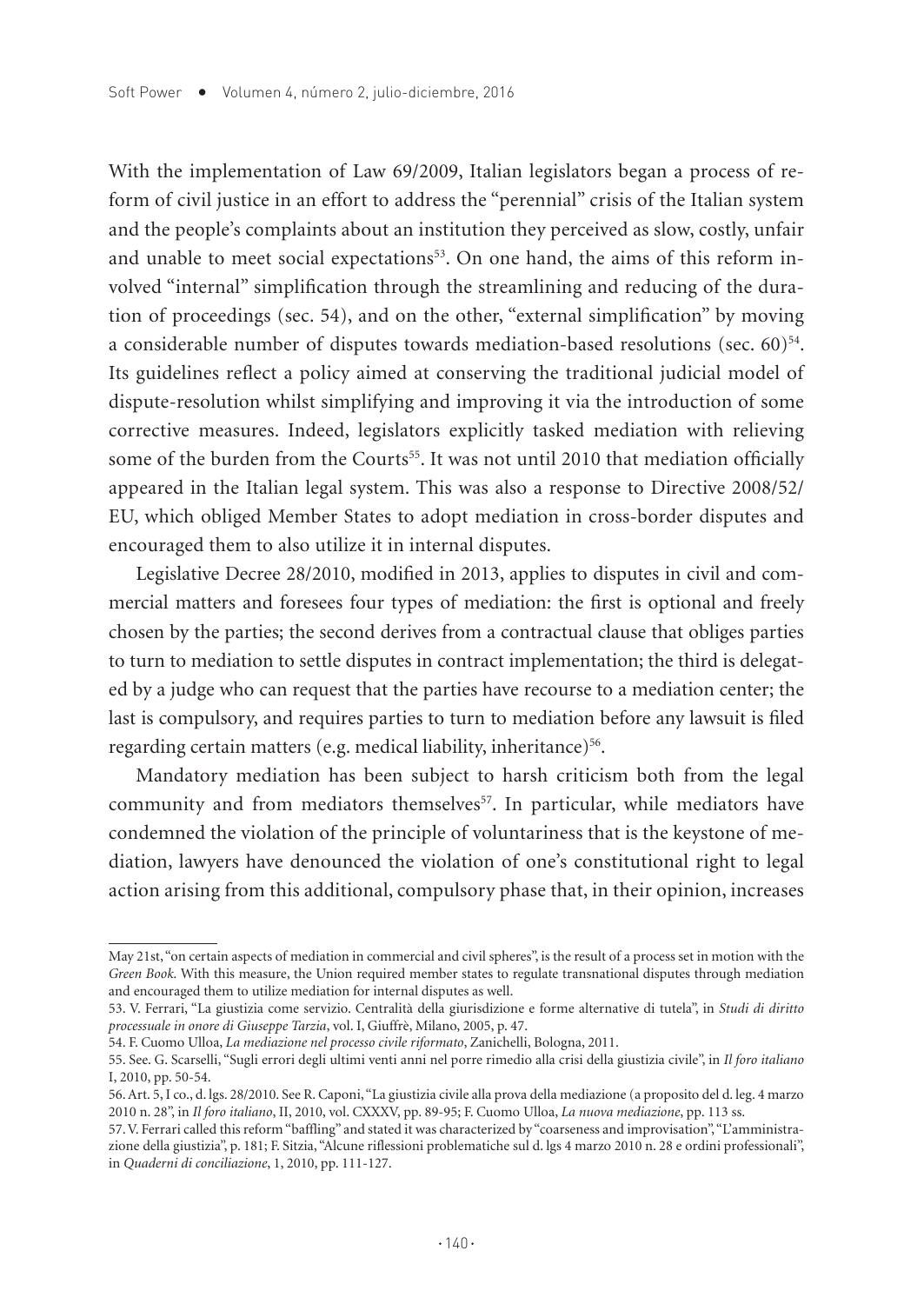With the implementation of Law 69/2009, Italian legislators began a process of reform of civil justice in an effort to address the "perennial" crisis of the Italian system and the people's complaints about an institution they perceived as slow, costly, unfair and unable to meet social expectations<sup>53</sup>. On one hand, the aims of this reform involved "internal" simplification through the streamlining and reducing of the duration of proceedings (sec. 54), and on the other, "external simplification" by moving a considerable number of disputes towards mediation-based resolutions (sec.  $60$ )<sup>54</sup>. Its guidelines reflect a policy aimed at conserving the traditional judicial model of dispute-resolution whilst simplifying and improving it via the introduction of some corrective measures. Indeed, legislators explicitly tasked mediation with relieving some of the burden from the Courts<sup>55</sup>. It was not until 2010 that mediation officially appeared in the Italian legal system. This was also a response to Directive 2008/52/ EU, which obliged Member States to adopt mediation in cross-border disputes and encouraged them to also utilize it in internal disputes.

Legislative Decree 28/2010, modified in 2013, applies to disputes in civil and commercial matters and foresees four types of mediation: the first is optional and freely chosen by the parties; the second derives from a contractual clause that obliges parties to turn to mediation to settle disputes in contract implementation; the third is delegated by a judge who can request that the parties have recourse to a mediation center; the last is compulsory, and requires parties to turn to mediation before any lawsuit is filed regarding certain matters (e.g. medical liability, inheritance)<sup>56</sup>.

Mandatory mediation has been subject to harsh criticism both from the legal community and from mediators themselves $57$ . In particular, while mediators have condemned the violation of the principle of voluntariness that is the keystone of mediation, lawyers have denounced the violation of one's constitutional right to legal action arising from this additional, compulsory phase that, in their opinion, increases

May 21st, "on certain aspects of mediation in commercial and civil spheres", is the result of a process set in motion with the *Green Book.* With this measure, the Union required member states to regulate transnational disputes through mediation and encouraged them to utilize mediation for internal disputes as well.

<sup>53.</sup> V. Ferrari, "La giustizia come servizio. Centralità della giurisdizione e forme alternative di tutela", in *Studi di diritto processuale in onore di Giuseppe Tarzia*, vol. I, Giuffrè, Milano, 2005, p. 47.

<sup>54.</sup> F. Cuomo Ulloa, *La mediazione nel processo civile riformato*, Zanichelli, Bologna, 2011.

<sup>55.</sup> See. G. Scarselli, "Sugli errori degli ultimi venti anni nel porre rimedio alla crisi della giustizia civile", in *Il foro italiano* I, 2010, pp. 50-54.

<sup>56.</sup> Art. 5, I co., d. lgs. 28/2010. See R. Caponi, "La giustizia civile alla prova della mediazione (a proposito del d. leg. 4 marzo 2010 n. 28", in *Il foro italiano*, II, 2010, vol. CXXXV, pp. 89-95; F. Cuomo Ulloa, *La nuova mediazione*, pp. 113 ss.

<sup>57.</sup> V. Ferrari called this reform "baffling" and stated it was characterized by "coarseness and improvisation", "L'amministrazione della giustizia", p. 181; F. Sitzia, "Alcune riflessioni problematiche sul d. lgs 4 marzo 2010 n. 28 e ordini professionali", in *Quaderni di conciliazione*, 1, 2010, pp. 111-127.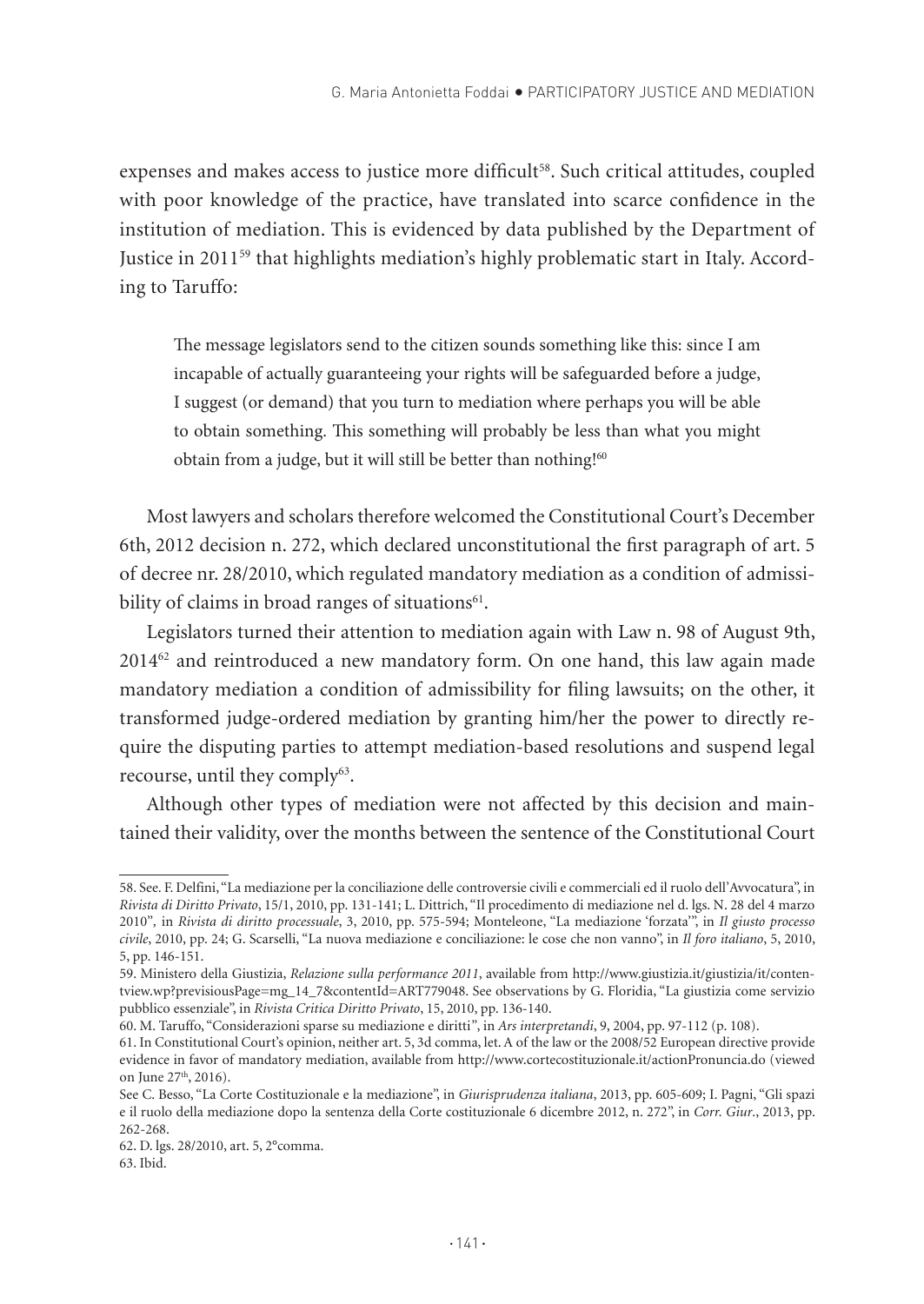expenses and makes access to justice more difficult<sup>58</sup>. Such critical attitudes, coupled with poor knowledge of the practice, have translated into scarce confidence in the institution of mediation. This is evidenced by data published by the Department of Justice in 201159 that highlights mediation's highly problematic start in Italy. According to Taruffo:

The message legislators send to the citizen sounds something like this: since I am incapable of actually guaranteeing your rights will be safeguarded before a judge, I suggest (or demand) that you turn to mediation where perhaps you will be able to obtain something. This something will probably be less than what you might obtain from a judge, but it will still be better than nothing!<sup>60</sup>

Most lawyers and scholars therefore welcomed the Constitutional Court's December 6th, 2012 decision n. 272, which declared unconstitutional the first paragraph of art. 5 of decree nr. 28/2010, which regulated mandatory mediation as a condition of admissibility of claims in broad ranges of situations<sup>61</sup>.

Legislators turned their attention to mediation again with Law n. 98 of August 9th,  $2014<sup>62</sup>$  and reintroduced a new mandatory form. On one hand, this law again made mandatory mediation a condition of admissibility for filing lawsuits; on the other, it transformed judge-ordered mediation by granting him/her the power to directly require the disputing parties to attempt mediation-based resolutions and suspend legal recourse, until they comply<sup>63</sup>.

Although other types of mediation were not affected by this decision and maintained their validity, over the months between the sentence of the Constitutional Court

<sup>58.</sup> See. F. Delfini, "La mediazione per la conciliazione delle controversie civili e commerciali ed il ruolo dell'Avvocatura", in *Rivista di Diritto Privato*, 15/1, 2010, pp. 131-141; L. Dittrich, "Il procedimento di mediazione nel d. lgs. N. 28 del 4 marzo 2010"*,* in *Rivista di diritto processuale*, 3, 2010, pp. 575-594; Monteleone, "La mediazione 'forzata'", in *Il giusto processo civile*, 2010, pp. 24; G. Scarselli, "La nuova mediazione e conciliazione: le cose che non vanno", in *Il foro italiano*, 5, 2010, 5, pp. 146-151.

<sup>59.</sup> Ministero della Giustizia, *Relazione sulla performance 2011*, available from http://www.giustizia.it/giustizia/it/contentview.wp?previsiousPage=mg\_14\_7&contentId=ART779048. See observations by G. Floridia, "La giustizia come servizio pubblico essenziale", in *Rivista Critica Diritto Privato*, 15, 2010, pp. 136-140.

<sup>60.</sup> M. Taruffo, "Considerazioni sparse su mediazione e diritti*"*, in *Ars interpretandi*, 9, 2004, pp. 97-112 (p. 108).

<sup>61.</sup> In Constitutional Court's opinion, neither art. 5, 3d comma, let. A of the law or the 2008/52 European directive provide evidence in favor of mandatory mediation, available from http://www.cortecostituzionale.it/actionPronuncia.do (viewed on June 27<sup>th</sup>, 2016).

See C. Besso, "La Corte Costituzionale e la mediazione", in *Giurisprudenza italiana*, 2013, pp. 605-609; I. Pagni, "Gli spazi e il ruolo della mediazione dopo la sentenza della Corte costituzionale 6 dicembre 2012, n. 272", in *Corr. Giur*., 2013, pp. 262-268.

<sup>62.</sup> D. lgs. 28/2010, art. 5, 2°comma.

<sup>63.</sup> Ibid.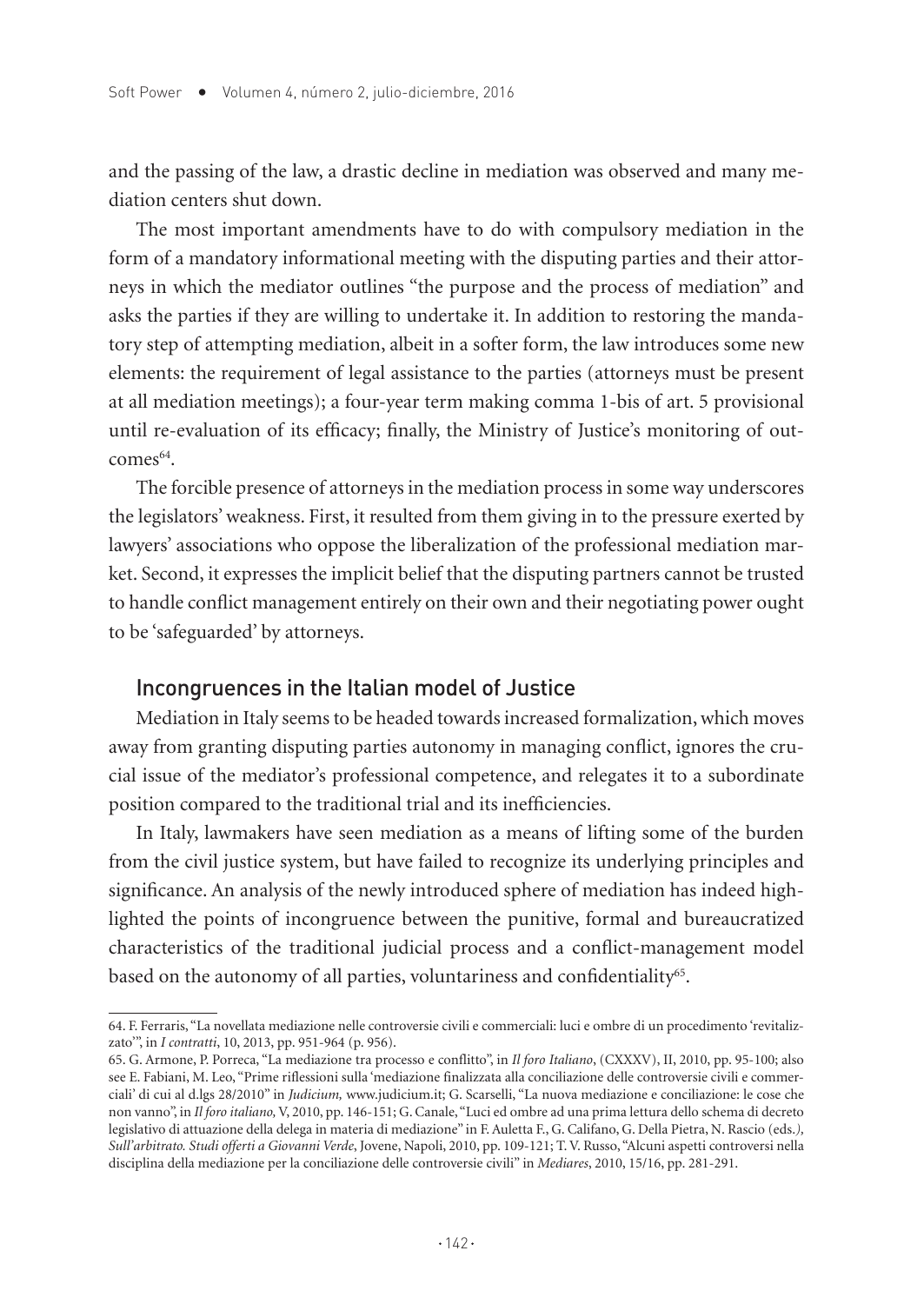and the passing of the law, a drastic decline in mediation was observed and many mediation centers shut down.

The most important amendments have to do with compulsory mediation in the form of a mandatory informational meeting with the disputing parties and their attorneys in which the mediator outlines "the purpose and the process of mediation" and asks the parties if they are willing to undertake it. In addition to restoring the mandatory step of attempting mediation, albeit in a softer form, the law introduces some new elements: the requirement of legal assistance to the parties (attorneys must be present at all mediation meetings); a four-year term making comma 1-bis of art. 5 provisional until re-evaluation of its efficacy; finally, the Ministry of Justice's monitoring of out- $\text{comes}^{64}$ 

The forcible presence of attorneys in the mediation process in some way underscores the legislators' weakness. First, it resulted from them giving in to the pressure exerted by lawyers' associations who oppose the liberalization of the professional mediation market. Second, it expresses the implicit belief that the disputing partners cannot be trusted to handle conflict management entirely on their own and their negotiating power ought to be 'safeguarded' by attorneys.

#### Incongruences in the Italian model of Justice

Mediation in Italy seems to be headed towards increased formalization, which moves away from granting disputing parties autonomy in managing conflict, ignores the crucial issue of the mediator's professional competence, and relegates it to a subordinate position compared to the traditional trial and its inefficiencies.

In Italy, lawmakers have seen mediation as a means of lifting some of the burden from the civil justice system, but have failed to recognize its underlying principles and significance. An analysis of the newly introduced sphere of mediation has indeed highlighted the points of incongruence between the punitive, formal and bureaucratized characteristics of the traditional judicial process and a conflict-management model based on the autonomy of all parties, voluntariness and confidentiality<sup>65</sup>.

<sup>64.</sup> F. Ferraris, "La novellata mediazione nelle controversie civili e commerciali: luci e ombre di un procedimento 'revitalizzato'", in *I contratti*, 10, 2013, pp. 951-964 (p. 956).

<sup>65.</sup> G. Armone, P. Porreca, "La mediazione tra processo e conflitto", in *Il foro Italiano*, (CXXXV), II, 2010, pp. 95-100; also see E. Fabiani, M. Leo, "Prime riflessioni sulla 'mediazione finalizzata alla conciliazione delle controversie civili e commerciali' di cui al d.lgs 28/2010" in *Judicium,* www.judicium.it; G. Scarselli, "La nuova mediazione e conciliazione: le cose che non vanno", in *Il foro italiano,* V, 2010, pp. 146-151; G. Canale, "Luci ed ombre ad una prima lettura dello schema di decreto legislativo di attuazione della delega in materia di mediazione" in F. Auletta F., G. Califano, G. Della Pietra, N. Rascio (eds.*), Sull'arbitrato. Studi offerti a Giovanni Verde*, Jovene, Napoli, 2010, pp. 109-121; T. V. Russo, "Alcuni aspetti controversi nella disciplina della mediazione per la conciliazione delle controversie civili" in *Mediares*, 2010, 15/16, pp. 281-291.